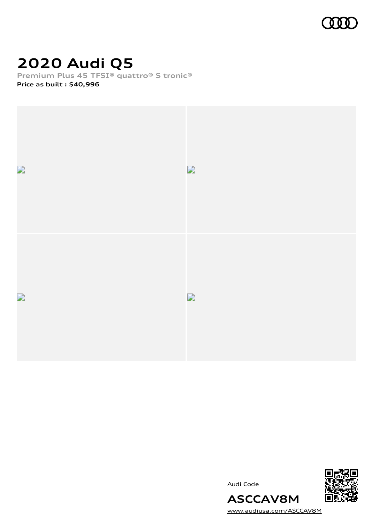

# **2020 Audi Q5**

**Premium Plus 45 TFSI® quattro® S tronic®**

**Price as built [:](#page-8-0) \$40,996**



Audi Code



[www.audiusa.com/ASCCAV8M](https://www.audiusa.com/ASCCAV8M)

**ASCCAV8M**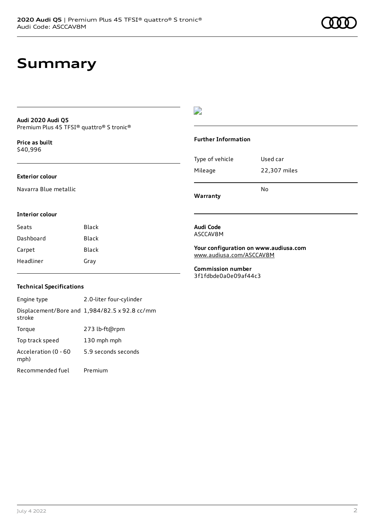## **Audi 2020 Audi Q5** Premium Plus 45 TFSI® quattro® S tronic®

**Price as buil[t](#page-8-0)** \$40,996

## **Exterior colour**

Navarra Blue metallic

## D

## **Further Information**

| Warranty        | No           |
|-----------------|--------------|
| Mileage         | 22,307 miles |
| Type of vehicle | Used car     |

### **Interior colour**

| Seats     | Black |
|-----------|-------|
| Dashboard | Black |
| Carpet    | Black |
| Headliner | Gray  |

### **Audi Code** ASCCAV8M

**Your configuration on www.audiusa.com** [www.audiusa.com/ASCCAV8M](https://www.audiusa.com/ASCCAV8M)

#### **Commission number** 3f1fdbde0a0e09af44c3

## **Technical Specifications**

Engine type 2.0-liter four-cylinder Displacement/Bore and 1,984/82.5 x 92.8 cc/mm stroke Torque 273 lb-ft@rpm Top track speed 130 mph mph Acceleration (0 - 60 mph) 5.9 seconds seconds Recommended fuel Premium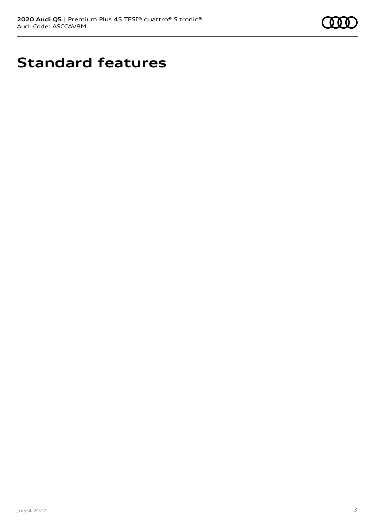

# **Standard features**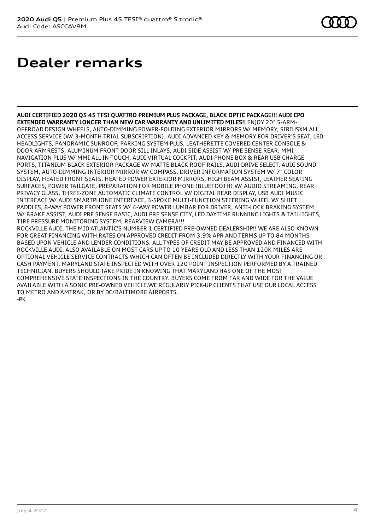## **Dealer remarks**

AUDI CERTIFIED 2020 Q5 45 TFSI QUATTRO PREMIUM PLUS PACKAGE, BLACK OPTIC PACKAGE!!! AUDI CPO EXTENDED WARRANTY LONGER THAN NEW CAR WARRANTY AND UNLIMITED MILES!! ENJOY 20" 5-ARM-OFFROAD DESIGN WHEELS, AUTO-DIMMING POWER-FOLDING EXTERIOR MIRRORS W/ MEMORY, SIRIUSXM ALL ACCESS SERVICE (W/ 3-MONTH TRIAL SUBSCRIPTION), AUDI ADVANCED KEY & MEMORY FOR DRIVER'S SEAT, LED HEADLIGHTS, PANORAMIC SUNROOF, PARKING SYSTEM PLUS, LEATHERETTE COVERED CENTER CONSOLE & DOOR ARMRESTS, ALUMINUM FRONT DOOR SILL INLAYS, AUDI SIDE ASSIST W/ PRE SENSE REAR, MMI NAVIGATION PLUS W/ MMI ALL-IN-TOUCH, AUDI VIRTUAL COCKPIT, AUDI PHONE BOX & REAR USB CHARGE PORTS, TITANIUM BLACK EXTERIOR PACKAGE W/ MATTE BLACK ROOF RAILS, AUDI DRIVE SELECT, AUDI SOUND SYSTEM, AUTO-DIMMING INTERIOR MIRROR W/ COMPASS, DRIVER INFORMATION SYSTEM W/ 7" COLOR DISPLAY, HEATED FRONT SEATS, HEATED POWER EXTERIOR MIRRORS, HIGH BEAM ASSIST, LEATHER SEATING SURFACES, POWER TAILGATE, PREPARATION FOR MOBILE PHONE (BLUETOOTH) W/ AUDIO STREAMING, REAR PRIVACY GLASS, THREE-ZONE AUTOMATIC CLIMATE CONTROL W/ DIGITAL REAR DISPLAY, USB AUDI MUSIC INTERFACE W/ AUDI SMARTPHONE INTERFACE, 3-SPOKE MULTI-FUNCTION STEERING WHEEL W/ SHIFT PADDLES, 8-WAY POWER FRONT SEATS W/ 4-WAY POWER LUMBAR FOR DRIVER, ANTI-LOCK BRAKING SYSTEM W/ BRAKE ASSIST, AUDI PRE SENSE BASIC, AUDI PRE SENSE CITY, LED DAYTIME RUNNING LIGHTS & TAILLIGHTS, TIRE PRESSURE MONITORING SYSTEM, REARVIEW CAMERA!!! ROCKVILLE AUDI, THE MID ATLANTIC'S NUMBER 1 CERTIFIED PRE-OWNED DEALERSHIP!! WE ARE ALSO KNOWN FOR GREAT FINANCING WITH RATES ON APPROVED CREDIT FROM 3.9% APR AND TERMS UP TO 84 MONTHS BASED UPON VEHICLE AND LENDER CONDITIONS. ALL TYPES OF CREDIT MAY BE APPROVED AND FINANCED WITH ROCKVILLE AUDI. ALSO AVAILABLE ON MOST CARS UP TO 10 YEARS OLD AND LESS THAN 120K MILES ARE OPTIONAL VEHICLE SERVICE CONTRACTS WHICH CAN OFTEN BE INCLUDED DIRECTLY WITH YOUR FINANCING OR CASH PAYMENT. MARYLAND STATE INSPECTED WITH OVER 120 POINT INSPECTION PERFORMED BY A TRAINED TECHNICIAN. BUYERS SHOULD TAKE PRIDE IN KNOWING THAT MARYLAND HAS ONE OF THE MOST

COMPREHENSIVE STATE INSPECTIONS IN THE COUNTRY. BUYERS COME FROM FAR AND WIDE FOR THE VALUE AVAILABLE WITH A SONIC PRE-OWNED VEHICLE.WE REGULARLY PICK-UP CLIENTS THAT USE OUR LOCAL ACCESS TO METRO AND AMTRAK, OR BY DC/BALTIMORE AIRPORTS.

-PK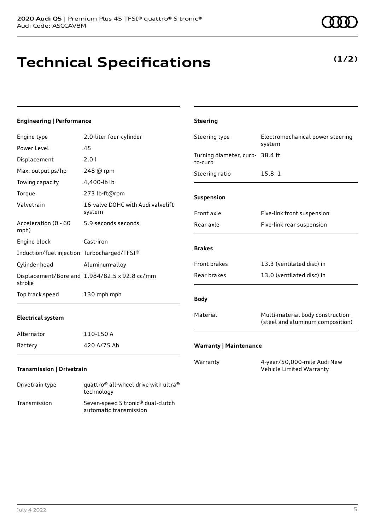## **Technical Specifications**

July 4 2022 5

technology Transmission Seven-speed S tronic® dual-clutch

automatic transmission

| <b>Engineering   Performance</b>            |                                                              | <b>Steering</b>                            |                                                                      |
|---------------------------------------------|--------------------------------------------------------------|--------------------------------------------|----------------------------------------------------------------------|
| Engine type                                 | 2.0-liter four-cylinder                                      | Steering type                              | Electromechanical power steering                                     |
| Power Level                                 | 45                                                           |                                            | system                                                               |
| Displacement                                | 2.01                                                         | Turning diameter, curb- 38.4 ft<br>to-curb |                                                                      |
| Max. output ps/hp                           | 248 @ rpm                                                    | Steering ratio                             | 15.8:1                                                               |
| Towing capacity                             | 4,400-lb lb                                                  |                                            |                                                                      |
| Torque                                      | 273 lb-ft@rpm                                                | Suspension                                 |                                                                      |
| Valvetrain                                  | 16-valve DOHC with Audi valvelift<br>system                  | Front axle                                 | Five-link front suspension                                           |
| Acceleration (0 - 60<br>mph)                | 5.9 seconds seconds                                          | Rear axle                                  | Five-link rear suspension                                            |
| Engine block                                | Cast-iron                                                    | <b>Brakes</b>                              |                                                                      |
| Induction/fuel injection Turbocharged/TFSI® |                                                              |                                            |                                                                      |
| Cylinder head                               | Aluminum-alloy                                               | Front brakes                               | 13.3 (ventilated disc) in                                            |
| stroke                                      | Displacement/Bore and 1,984/82.5 x 92.8 cc/mm                | Rear brakes                                | 13.0 (ventilated disc) in                                            |
| Top track speed                             | 130 mph mph                                                  | <b>Body</b>                                |                                                                      |
| <b>Electrical system</b>                    |                                                              | Material                                   | Multi-material body construction<br>(steel and aluminum composition) |
| Alternator                                  | 110-150 A                                                    |                                            |                                                                      |
| Battery                                     | 420 A/75 Ah                                                  | <b>Warranty   Maintenance</b>              |                                                                      |
| Transmission   Drivetrain                   |                                                              | Warranty                                   | 4-year/50,000-mile Audi New<br>Vehicle Limited Warranty              |
| Drivetrain type                             | quattro <sup>®</sup> all-wheel drive with ultra <sup>®</sup> |                                            |                                                                      |

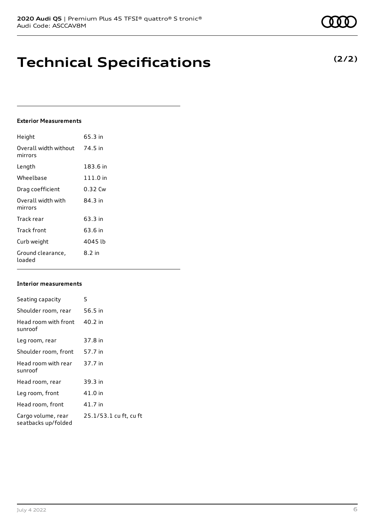## **Technical Specifications**

## **Exterior Measurements**

| Height                           | 65.3 in  |
|----------------------------------|----------|
| Overall width without<br>mirrors | 74.5 in  |
| Length                           | 183.6 in |
| Wheelbase                        | 111.0 in |
| Drag coefficient                 | 0.32 Cw  |
| Overall width with<br>mirrors    | 84 3 in  |
| Track rear                       | 63.3 in  |
| Track front                      | 63.6 in  |
| Curb weight                      | 4045 lb  |
| Ground clearance,<br>loaded      | 8.2 in   |

## **Interior measurements**

| Seating capacity                          | 5                      |
|-------------------------------------------|------------------------|
| Shoulder room, rear                       | 56.5 in                |
| Head room with front<br>sunroof           | 40.2 in                |
| Leg room, rear                            | 37.8 in                |
| Shoulder room, front                      | 57.7 in                |
| Head room with rear<br>sunroof            | 37.7 in                |
| Head room, rear                           | 39.3 in                |
| Leg room, front                           | 41.0 in                |
| Head room, front                          | 41.7 in                |
| Cargo volume, rear<br>seatbacks up/folded | 25.1/53.1 cu ft, cu ft |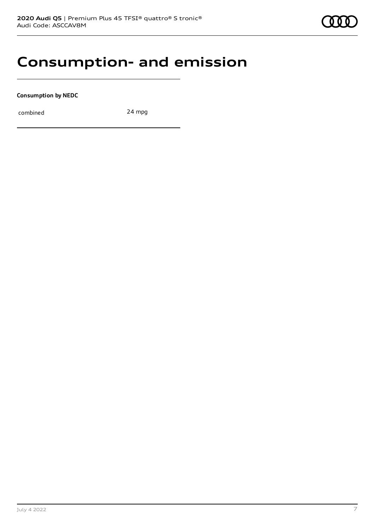## **Consumption- and emission**

**Consumption by NEDC**

combined 24 mpg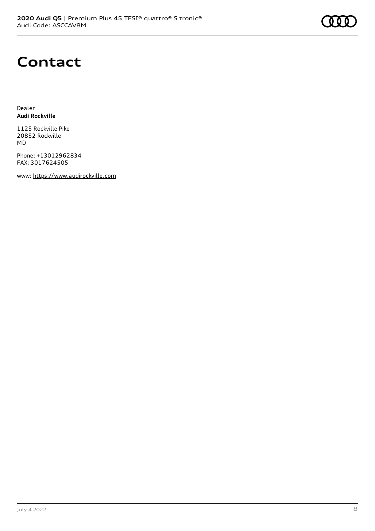## **Contact**

Dealer **Audi Rockville**

1125 Rockville Pike 20852 Rockville MD

Phone: +13012962834 FAX: 3017624505

www: [https://www.audirockville.com](https://www.audirockville.com/)